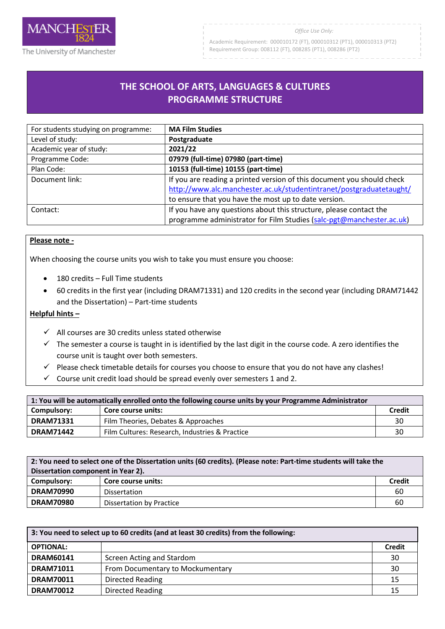

#### *Office Use Only:*

Academic Requirement: 000010172 (FT), 000010312 (PT1), 000010313 (PT2) Requirement Group: 008112 (FT), 008285 (PT1), 008286 (PT2)

# **THE SCHOOL OF ARTS, LANGUAGES & CULTURES PROGRAMME STRUCTURE**

| For students studying on programme: | <b>MA Film Studies</b>                                                 |
|-------------------------------------|------------------------------------------------------------------------|
| Level of study:                     | Postgraduate                                                           |
| Academic year of study:             | 2021/22                                                                |
| Programme Code:                     | 07979 (full-time) 07980 (part-time)                                    |
| Plan Code:                          | 10153 (full-time) 10155 (part-time)                                    |
| Document link:                      | If you are reading a printed version of this document you should check |
|                                     | http://www.alc.manchester.ac.uk/studentintranet/postgraduatetaught/    |
|                                     | to ensure that you have the most up to date version.                   |
| Contact:                            | If you have any questions about this structure, please contact the     |
|                                     | programme administrator for Film Studies (salc-pgt@manchester.ac.uk)   |

# **Please note -**

When choosing the course units you wish to take you must ensure you choose:

- 180 credits Full Time students
- 60 credits in the first year (including DRAM71331) and 120 credits in the second year (including DRAM71442 and the Dissertation) – Part-time students

### **Helpful hints –**

- $\checkmark$  All courses are 30 credits unless stated otherwise
- $\checkmark$  The semester a course is taught in is identified by the last digit in the course code. A zero identifies the course unit is taught over both semesters.
- $\checkmark$  Please check timetable details for courses you choose to ensure that you do not have any clashes!
- $\checkmark$  Course unit credit load should be spread evenly over semesters 1 and 2.

| 1: You will be automatically enrolled onto the following course units by your Programme Administrator |                                                |        |
|-------------------------------------------------------------------------------------------------------|------------------------------------------------|--------|
| Compulsory:                                                                                           | Core course units:                             | Credit |
| <b>DRAM71331</b>                                                                                      | Film Theories, Debates & Approaches            | 30     |
| <b>DRAM71442</b>                                                                                      | Film Cultures: Research, Industries & Practice | 30     |

| 2: You need to select one of the Dissertation units (60 credits). (Please note: Part-time students will take the<br>Dissertation component in Year 2). |                          |               |
|--------------------------------------------------------------------------------------------------------------------------------------------------------|--------------------------|---------------|
| Compulsory:                                                                                                                                            | Core course units:       | <b>Credit</b> |
| <b>DRAM70990</b>                                                                                                                                       | Dissertation             | 60            |
| <b>DRAM70980</b>                                                                                                                                       | Dissertation by Practice | 60            |

| 3: You need to select up to 60 credits (and at least 30 credits) from the following: |                                  |               |
|--------------------------------------------------------------------------------------|----------------------------------|---------------|
| <b>OPTIONAL:</b>                                                                     |                                  | <b>Credit</b> |
| <b>DRAM60141</b>                                                                     | Screen Acting and Stardom        | 30            |
| <b>DRAM71011</b>                                                                     | From Documentary to Mockumentary | 30            |
| <b>DRAM70011</b>                                                                     | <b>Directed Reading</b>          | 15            |
| <b>DRAM70012</b>                                                                     | <b>Directed Reading</b>          | 15            |